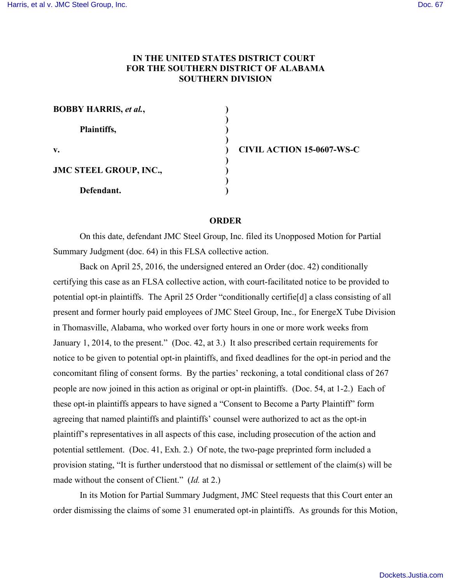## **IN THE UNITED STATES DISTRICT COURT FOR THE SOUTHERN DISTRICT OF ALABAMA SOUTHERN DIVISION**

| <b>BOBBY HARRIS, et al.,</b> |  |
|------------------------------|--|
| Plaintiffs,                  |  |
| v.                           |  |
| JMC STEEL GROUP, INC.,       |  |
| Defendant.                   |  |

**v. ) CIVIL ACTION 15-0607-WS-C**

## **ORDER**

On this date, defendant JMC Steel Group, Inc. filed its Unopposed Motion for Partial Summary Judgment (doc. 64) in this FLSA collective action.

Back on April 25, 2016, the undersigned entered an Order (doc. 42) conditionally certifying this case as an FLSA collective action, with court-facilitated notice to be provided to potential opt-in plaintiffs. The April 25 Order "conditionally certifie[d] a class consisting of all present and former hourly paid employees of JMC Steel Group, Inc., for EnergeX Tube Division in Thomasville, Alabama, who worked over forty hours in one or more work weeks from January 1, 2014, to the present." (Doc. 42, at 3.) It also prescribed certain requirements for notice to be given to potential opt-in plaintiffs, and fixed deadlines for the opt-in period and the concomitant filing of consent forms. By the parties' reckoning, a total conditional class of 267 people are now joined in this action as original or opt-in plaintiffs. (Doc. 54, at 1-2.) Each of these opt-in plaintiffs appears to have signed a "Consent to Become a Party Plaintiff" form agreeing that named plaintiffs and plaintiffs' counsel were authorized to act as the opt-in plaintiff's representatives in all aspects of this case, including prosecution of the action and potential settlement. (Doc. 41, Exh. 2.) Of note, the two-page preprinted form included a provision stating, "It is further understood that no dismissal or settlement of the claim(s) will be made without the consent of Client." (*Id.* at 2.)

In its Motion for Partial Summary Judgment, JMC Steel requests that this Court enter an order dismissing the claims of some 31 enumerated opt-in plaintiffs. As grounds for this Motion,